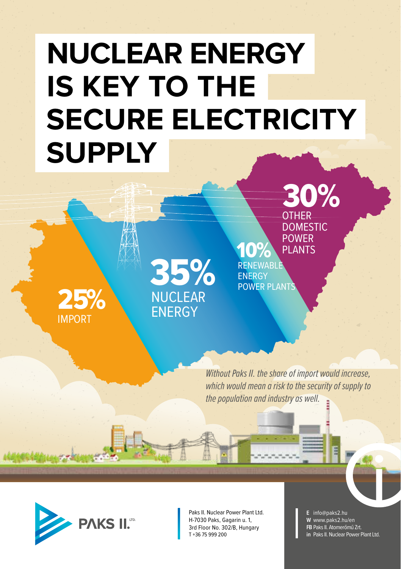## **NUCLEAR ENERGY IS KEY TO THE SECURE ELECTRICITY SUPPLY**



35% NUCLEAR **FNFRGY** 

10% **RENEWABLE ENERGY** POWER PLANTS POWER PLANTS

30%

OTHER DOMESTIC

*Without Paks II. the share of import would increase, which would mean a risk to the security of supply to the population and industry as well.*



Paks II. Nuclear Power Plant Ltd. H-7030 Paks, Gagarin u. 1, 3rd Floor No. 302/B, Hungary T +36 75 999 200

**E** info@paks2.hu **W** www.paks2.hu/en **FB** Paks II. Atomerőmű Zrt. **in** Paks II. Nuclear Power Plant Ltd.